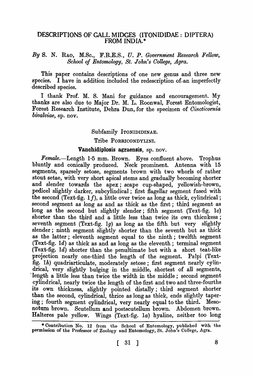# DESCRIPTIONS OF GALL MIDGES (ITONIDIDAE: DIPTERA) FROM INDIA. \*

# By S. N. RAO, M.Sc., F.R.E.S., U. P. *Government Research Fellow, School of Entomology, St. John's Oollege, Agra.*

This paper contains descriptions of one new genus and three new species. I have in addition included the redescription of an imperfectly described species.

I thank Prof. M. S. Mani for guidance and encouragement. My thanks are also due to Major Dr. M. L. Roonwal, Forest Entomologist, Forest Research Institute, Dehra Dun, for the specimen of *Cincticornia bivalviae,* sp. nov.

## Subfamily ITONIDIDINAE.

### Tribe PORRICONDYLINI.

## Vanchidiplosis agraensis, sp. nov.

Female.-Length 1.5 mm. Brown. Eyes confluent above. Trophus bluntly and conically produced. Neck prominent. Antenna with 15 segments, sparsely setose, segments brown with two whorls of rather stout setae, with very short apical stems and gradually becoming shorter and slender towards the apex; scape cup-shaped, yellowish-brown, pedicel slightly darker, subcylindical; first flagellar segment fused with the second (Text-fig.  $1f$ ), a little over twice as long as thick, cylindrical; second segment as long as and as thick as the first; third segment as long as the second but slightly slender; fifth segment (Text-fig. *Ie)*  shorter than the third and a little less than twice its own thicnkess; seventh segment (Text-fig.  $1g$ ) as long as the fifth but very slightly slender; ninth segment slightly shorter than the seventh but as thick as the latter; eleventh segment equal to the ninth; twelfth segment (Text-fig. *Id)* as thick as and as long as the eleventh; terminal segment (Text-fig. 1d) shorter than the penultimate but with a short teat-like projection nearly one-third the length of the segment. Palpi (Textfig. 1 $h$ ) quadriarticulate, moderately setose; first segment nearly cylindrical, very slightly bulging in the middle, shortest of all segments, "length a little less than twice the width in the middle; second segment cylindrical, nearly twice the length of the first and two and three-fourths its own thickness, slightly pointed distally; third segment shorter than the second, cylindrical, thrice as long as thick, ends slightly tapering; fourth segment cylindrical, very nearly equal to the third. Mesonotum brown. Scutellum and postscutellum brown. Abdomen brown. Halteres pale yellow. Wings (Text-fig. la) hyaline, neither too long

<sup>\*</sup> Contribution No. 12 from the School of Entomology, published with the permission of the Professor of Zoology and Entomology, St. John's College, Agra.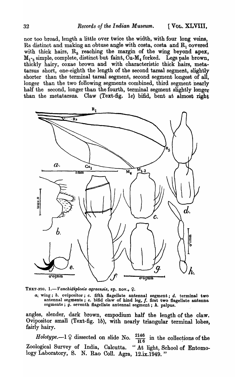nor too broad, length a little over twice the width, with four long veins, Rs distinct and making an obtuse angle with costa, costa and  $R_1$  covered with thick hairs,  $R_5$  reaching the margin of the wing beyond apex,  $M_{1,2}$  simple, complete, distinct but faint,  $\tilde{C}u-M_4$  forked. Legs pale brown, thickly hairy, coxae brown and with characteristic thick hairs, metatarsus short, one-eighth the length of the second tarsal segment, slightly shorter than the terminal tarsal segment, second segment longest of all, longer than the two following segments combined, third segment nearly half the second, longer than the fourth, terminal segment slightly longer than the metatarsus. Claw (Text-fig. 1e) bifid, bent at almost right



TEXT-FIG. 1.-*Vanchidiplosis agraensis*, sp. nov.,  $\Omega$ .

at wing; b. ovipositor; *c.* fifth flagellate antennal segment; d. terminal two antennal segments; e. bifid claw of hind leg, f. first two flagellate antenna segments;  $\tilde{g}$ . seventh flagellate antennal segment;  $h$ . palpus.

angles, slender, dark brown, empodium half the length of the claw. Ovipositor small (Text-fig. Ib), with nearly triangular terminal lobes, fairly hairy.

*Holotype.*-1  $\varphi$  dissected on slide No.  $\frac{2146}{H6}$  in the collections of the Zoological Survey of India, Calcutta. "At light, School of Entomology Laboratory, S. N. Rao ColI. Agra, 12.ix.1949."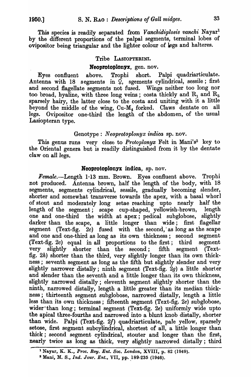This species is readily separated from *Vanchidiplosis vanchi* Nayar<sup>1</sup> by the different proportions of the palpal segments, terminal lobes of ovipositor being triangular and the lighter colour of legs and halteres.

## Tribe LASIOPTERINI.

### Neoprotoplonyx, gen. nov.

Eyes confluent above. Trophi short. Palpi quadriarticulate. Antenna with 18 segments in  $\tilde{\varphi}$ , sgements cylindrical, sessile; first and second flagellate segments not fused. Wings neither too long nor too broad, hyaline, with three long veins; costa thickly and  $R_1$  and  $R_5$ sparsely hairy, the latter close to the costa and uniting with it a little beyond the middle of the wing, CU-M4 forked. Claws dentate on all legs. Ovipositor one-third the length of the abdomen, of the usual Lasiopteran type.

## Genotype: *Neoprotoplonyx indica* sp. nov.

This genus runs very close to *Protoplonyx* Felt in Mani's<sup>2</sup> key to the Oriental genera but is readily distinguished from it by the dentate claw on all legs.

#### Neoprotoplonyx indica, sp. nov.

*Female.-Length* 1·13 mm. Brown. Eyes confluent above. Trophi not produced. Antenna brown, half the length of the body, with 18 segments, segments cylindrical, sessile, gradually becoming slender, shorter and somewhat transverse towards the apex, with a basal whorl of stout and moderately long setae reaching upto nearly half the length of the segment; scape cup-shaped, yellowish-brown, length one and one-third the width at apex; pedical subglobose, slightly darker than the scape, a little longer than wide; first flagellar segment (Text-fig.  $2c$ ) fused with the second, as long as the scape and one and one-third as long as its own thickness; second segment (Text-fig. 2c) equal in all proportions to the first; third segment very slightly shorter than the second; fifth segment (Textfig. 2h) shorter than the third, very slightly longer than its own thickness; seventh segment as long as the fifth but slightly slender and very slightly narrower distally; ninth segment (Text-fig. 2g) a little shorter and slender than the seventh and a little longer than its own thickness, slightly narrowed distally; eleventh segment slightly shorter than the ninth, narrowed distally, length a little greater than its median thickness; thirteenth segment subglobose, narrowed distally, length a little less than its own thickness; fifteenth segment (Text-fig. 2e) subglobose, wider than long; terminal segment (Text-fig. 2e) uniformly wide upto the apical three-fourths and narrowed into a blunt knob distally, shorter than wide. Palpi (Text-fig. 2f) quadriarticulate, pale yellow, sparsely setose, first segment subcylindrical, shortest of all, a little longer than thick; second segment cylindrical, stouter and longer than the first, nearly twice as long as thick, very slightly narrowed distally; third

<sup>1</sup>Nayar, K. K., *Proc. Roy. Ent. Soc. London,* XVIII, p. 82 (1949). <sup>2</sup> Mani, M. S., *Ind. Jour. Ent.*, VII, pp. 189.235 (1946).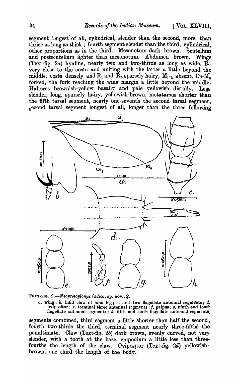segment longest of all, cylindrical, slender than the second, more than thrice as long as thick; fourth segment slender than the third, cylindrical, other proportions as in the third. Mesonotum dark brown. Scutellum and postscutellum lighter than mesonotum. Abdomen brown. Wings (Text-fig. 2a) hyaline, nearly two and two-thirds as long as wide,  $\tilde{R}$ . very close to the costa and uniting with the latter a little beyond the middle, costa densely and  $R_1$  and  $R_5$  sparsely hairy,  $M_1$ -<sub>2</sub> absent,  $Cu-M<sub>a</sub>$ forked, the fork reaching the wing margin a little beyond the middle. Halteres brownish -yellow basally and pale yellowish distally. Legs slender, long, sparsely hairy, yellowish-brown, metatarsus shorter than the fifth tarsal segment, nearly one-seventh the second tarsal segment, second tarsal segment longest of all, longer than the three following



TEXT-FIG. 2.-Neoprotoplonyx indica, sp. nov., 9.

*a.* wing; b. bifid claw of hind leg; c. first two flagellate antenna] segments; d. ovipositor;  $e$ . terminal three antennal segments;  $f$ . palpus;  $g$ . ninth and tenth flagellate antennal segments; *h.* fifth and sixth flagellate antennal segments.

segments combined, third segment a little shorter than half the second, fourth two-thirds the third, terminal segment nearly three-fifths the penultimate. Claw (Text-fig. 2b) dark brown, evenly curved, not very slender, with a tooth at the base, empodium a little less than threefourths the length of the claw. Ovipositor (Text-fig.  $2d$ ) yellowishbrown, one third the length of the body.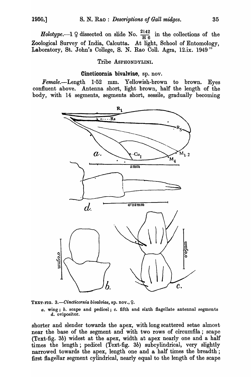*Holotype.*--1  $\varphi$  dissected on slide No.  $\frac{2142}{\text{H }6}$  in the collections of the Zoological Survey of India, Calcutta. At light, School of Entomology, Laboratory, St. John's College, S. N. Rao Coll. Agra, 12.ix. 1949"

## Tribe ASPHONDYLINI.

## Cincticornia bivalviae, sp. nov.

Female.--Length  $1.52$  mm. Yellowish-brown to brown. Eyes confluent above. Antenna short, light brown, half the length of the body, with 14 segments, segments short, sessile, gradually becoming





*a.* wing; *b.* scape and pedicel; c. fifth and sixth flagellate antennal segments d. ovipositor.

shorter and slender towards the apex, with long scattered setae almost near the base of the segment and with two rows of circumfila; scape (Text-fig. 3b) widest at the apex, width at apex nearly one and a half times the length; pedicel (Text-fig. 3b) subeylindrieal, very slightly narrowed towards the apex, length one and a half times the breadth; first flagellar segment cylindrical, nearly equal to the length of the scape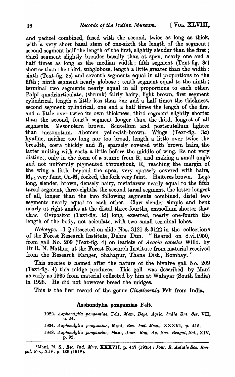and pedicel combined, fused with the second, twice as long as thick, with a very short basal stem of one-sixth the length of the segment; second segment half the length of the first, slightly slender than the first; third segment slightly broader basally than at spex, nearly one and a half times as long as the median width; fifth segment (Text-fig. 3c) shorter than the third, subglobose, length a little greater than the width; sixth (Text-fig. 3c) and seventh segments equal in all proportions to the fifth; ninth segment nearly globose; tenth segment equal to the ninth; terminal two segments nearly equal in all proportions to each other. Palpi quadriarticulate, (shrunk) fairly hairy, light brown, first segment cylindrical, length a little less than one and a half times the thickness, second segment cylindrical, one and a half times the length of the first and a little over twice its own thickness, third segment slightly shorter than the second, fourth segment longer than the third, longest of all segments. Mesonotum brown. Scutellum and postscutellum lighter than mesonotum. Abomen yellowish-brown. Wings (Text-fig. 3a) hyaline, neither too long nor too broad, length a little over twice the breadth, costa thickly and  $R_1$  sparsely covered with brown hairs, the latter uniting with costa a little before the middle of wing, Rs not very distinct, only in the form of a stump from  $R_1$  and making a small angle and not uniformly pigmented throughout,  $\dot{R}_5$  reaching the margin of the wing a little beyond the apex, very sparsely covered with hairs,  $M_{1.2}$  very faint, Cu- $M_4$  forked, the fork very faint. Halteres brown. Legs long, slender, brown, densely hairy, metatarsus nearly equal to the fifth tarsal segment, three-eighths the second tarsal segment, the latter longest of all, longer than the two following segments combined, distal two segments nearly equal to each other. Claw slender simple and bent nearly at right angles at the distal three-fourths, empodium shorter than claw. Ovipositor (Text-fig. 3d) long, exserted, nearly one-fourth the length of the body, not aciculate, with two small terminal lobes.

*Holotype.*—1  $\Omega$  dissected on slide Nos. 3121 & 3122 in the collections of the Forest Research Institute, Dehra Dun. "Reared on 8. vi. 1950, from gall No. 209 (Text-fig. 4) on leaflets of *Acacia catechu* Willd. by Dr R. N. Mathur, at the Forest Research Institute from material received from the Research Ranger, Shahapur, Thana Dist., Bombay."

This species is named after the nature of the bivalve gall No. 209 (Text-fig. 4) this midge produces. This gall was described by Mani as early as 1935 from material collected by him at Walayar (South India) in 1928. He did not however breed the midges.

This is the first record of the genus *Oincticornia* Felt from India.

## Asphondylia pongamiae Felt.

- *1922. Asphondylia pongamiae,* Felt, *Mem. Dept. Agrie. India Ent. Ber.* VII, p.24.
- 1934. Asphondylia pongamiae, Mani, *Rec. Ind. Mus.*, XXXVI, p. 415.
- *1948. A8phondylia pongamiae,* Mani, *Jour. Boy, A,. 800. Bengal, Sci.,* XIV, p.92.

<sup>&</sup>lt;sup>1</sup>Mani, M. S., *Rec. Ind. Mus. XXXVII*, p. 447 (1935); *Jour. R. Asiatic Soc. Bengal, Sci., XIV, p. 139 (1948).*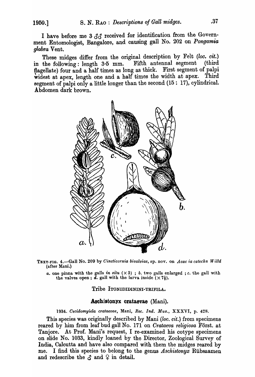I have before me 3  $\mathcal{S}\mathcal{S}$  received for identification from the Government Entomologist, Bangalore, and causing gall No. 202 on *Pongamia glabra* Vent. .

These midges differ from the original description by Felt *(loo. cit.)*  in the following: length 3·5 mm. Fifth antennal segment (third flagellate) four and a half times as long as thick. First segment of palpi widest at apex, length one and a half times the width at apex. Third segment of palpi only a little longer than the second  $(15: 17)$ , cylindrical. Abdomen dark brown.



TEXT-FIG. 4.-Gall No. 209 by *Cincticornia bivalviae,* sp. nov. on *Acac ia catechu W illd*  (after Mani.)

*a.* one pinna with the galls *in situ*  $(\times 3)$ ; *b.* two galls enlarged; *c.* the gall with the valves open; d. gall with the larva inside  $(\times 7\frac{1}{2})$ .

### Tribe ITONIDIDININI-TRIFILA.

#### Aschistonyx crataevae (Mani).

*1934. Cecidomyiela crataevae,* Mani, *Ree. Ind. Mus.,* XXXVI, p. 428.

This species was originally described by Mani *(loc. cit.)* from specimens reared by him from leaf bud gall No. 171 on *Crataeva religiosa* Forst. at Tanjore. At Prof. Mani's request, I re-examined his cotype specimens on slide No. 1033, kindly loaned by the Director, Zoological Survey of India, Calcutta and have also compared with them the midges reared by me. I find this species to belong to the genus *Aschistonyx* Rlibsaamen and redescribe the  $\delta$  and  $\varphi$  in detail.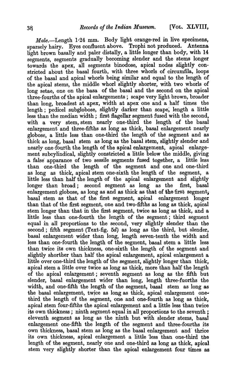Male.--Length 1.24 mm. Body light orange-red in live specimens, sparsely hairy. Eyes confluent above. Trophi not produced. Antenna light brown basally and paler distally, a little longer than body, with 14 segments, segments gradually becoming slender and the stems longer towards the apex, all segments binodose, apical nodes slightly constricted about the basal fourth, with three whorls of circumfila, loops of the basal and apical whorls being similar and equal to the length of the apical stems, the middle whorl slightly shorter, with two whorls of long setae, one on the basa of the basal and the second on the apical three-fourths of the apical enlargements; scape very light brown, broader than long, broadest at apex, width at apex one and a half times the length; pedicel subglobose, slightly darker than scape, length a little less than the median width; first flagellar segment fused with the second, with a very stem, stem nearly one-third the length of the basal enlargement and three-fifths as long as thick, basal enlargement nearly globose, a little less than one-third the length of the segment and as thick as long, basal stem as long as the basal stem, slightly slender and nearly one-fourth the length of the apical enlargement, apical enlargement subcylindical, slightly constricted a little below the middle, giving a false apparance of two sessile segments fused together, a little less than one-third the length of the segment and one and one-third as long as thick, apical stem one-sixth the length of the segment, a little less than half the length of the apical enlargement and slightly longer than broad; second segment as long as the first, basal enlargement globose, as long as and as thick as that of the first segment; basal stem as that of the first segment, apical enlargement longer than that of the first segment, one and two-fifths as long as thick, apical stem longer than that in the first segment, twice as long as thick, and a little less than one-fourth the length of the segment; third segment equal in all proportions to the second, very slightly slender than the second; fifth segment (Text-fig. 5d) as long as the third, but slender, basal enlargement wider than long, length seven-tenth the width and less than one-fourth the length of the segment, basal stem a little less than twice its own thickness, one-sixth the length of the segment and slightly shorther than half the apical enlargement, apical enlargement a little over one-third the length of the segment, slightly longer than thick, apical stem a little over twice as long as thick, more than half the length of the apical enlargement; seventh segment as long as the fifth but slender, basal enlargement wider than long, length three-fuorths the width, and one-fifth the length of the segment, basal stem as long as the basal enlargement, twjce as long as thick, apical enlargement onethird the length of the segment, one and one-fourth as long as thick, apical stem four-fifths the apical enlargement and a little less than twice its own thickness; ninth segment equal in all proportions to the seventh; eleventh segment as long as the ninth but with slender stems, basal enlargement one-fifth the length of the segment and three-fourths its own thickness, basal stem as long as the basal enlargement and· thrice its own thickness, apical enlargement a little 'less than one-third the length of the segment, nearly one and one-third as long as thick, apical stem very slightly shorter than the apical enlargement four times as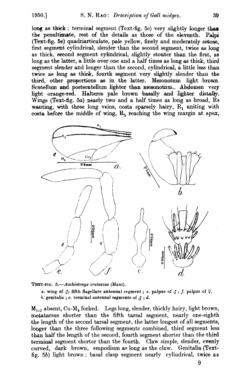long as thick; terminal segment (Text-fig. 5c) very slightly longer than the penultimate, rest of the details as those of the eleventh. Palpi  $(Text-fig. 5e)$  quadriarticulate, pale yellow, finely and moderately setose, first segment cylindrical, slender than the second segment, twice as long as thick, second segment cylindrical, slightly stouter than the first, as long as the latter, a little over one and a half times as long as thick, third segment slender and longer than the second, cylindrical, a little less than twice as long as thick, fourth segment very slightly slender than the third, other proportions as in the latter. Mesonotum light brown. Scutellum and postscutellum lighter than mesonotum... Abdomen very light orange-red. Halteres pale brown basally and lighter distally. Wings (Text-fig. 5a) nearly two and a half times as long as broad, Rs wanting, with three long veins, costa sparsely hairy,  $R_1$  uniting with costa before the middle of wing,  $R<sub>5</sub>$  reaching the wing margin at apex,



TEXT-FIG. 5.-Aschistonyx crataevae (Mani).

*a.* wing of  $\delta$ ; fifth flagellate antennal segment; e. palpus of  $\delta$ ; f. palpus of  $\mathcal{Q}$ . b. genitalia ; *c.* terminal antennal segments of  $\beta$  ; *d.* 

 $M_{1-2}$  absent, Cu-M<sub>1</sub> forked. Legs long, slender, thickly hairy, light brown, metatarsus shorter than the fifth tarsal segment, nearly one-eighth .the length of the second tarsal segment, the'latter longest of all segments, longer than the three following segments combined, third segment less than half the length of the second, fourth segment shorter than the third terminal segment shorter than the fourth. Claw simple, slender, evenly curved, dark brown, empodium as long as the claw. Genitalia (Textfig. 5b) light brown; basal clasp segment nearly eylindrical, twice as

9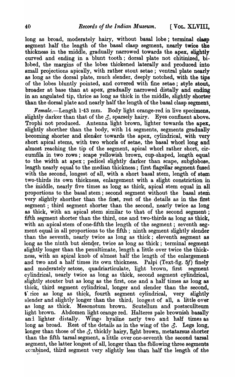long as broad, moderately hairy, without basal lobe; terminal clasp segment half the length of the basal clasp segment, nearly twice the thickness in the middle, gradually narrowed towards the apex, slightly curved and ending in a blunt tooth; dorsal plate not chitinized, bilobed, the margins of the lobes thickened laterally and produced into small projections apically, with rather stout setae; ventral plate nearly as long as the dorsal plate, much slender, deeply notched, with the tips of the lobes bluntly pointed, and covered with fine setae; style stout, broader at base than at apex, gradually narrowed distally and ending in an angulated tip, thrice as long as thick in the middle, slightly shorter than the dorsal plate and nearly half the length of the basal clasp segment.

 $Female. -Length 1.43 mm.$  Body light orange-red in live specimens, slightly darker than that of the  $\beta$ , sparsely hairy. Eyes confluent above. Trophi not produced. Antenna light brown, lighter towards the apex, slightly shorther than the body, with 14 segments, segments gradually becoming shorter and slender towards the apex, cylindrical, with very short apical stems, with two whorls of setae, the basal whorl long and almost reaching the tip of the segment, apical whorl rather short, circumfila in two rows; scape yellowish brown, cup-shaped, length equal to the width at apex; pedicel slightly darker than scape, subglobose, length nearly equal to the median thickness; first flagellar segment fused with the second, longest of all, with a short basal stem, length of stem two-thirds its own thickness, enlargement with a slight constriction in the iniddle, nearly five times as long as thick, apical stem equal in all proportions to the basal stem; second segment without the basal stem very slightly shorther than the first, rest of the details as in the first segment ; third segment shorter than the second, nearly twice as long as thick, with an apical stem similar to that of the second segment; fifth segment shorter than the third, one and two-thirds as long as thick, with an apical stem of one-fifth the length of the segment; seventh segment equal in all proportions to the fifth; ninth segment slightly slender than the seventh, nearly twice as long as thick; eleventh segment as long as the ninth but slender, twice as long as thick; terminal segment slightly longer than the penultimate, length a little over twice the thickness, with an apical knob of almost half the length of the enlargement and two and a half times its own thickness. Palpi (Text-fig. *5f)* finely and moderately setose, quadriarticulate, light brown, first segment cylindrical, nearly twice as long as thick, second segment cylindrical, slightly stouter but as long as the first, one and a half times as long as thick, third segment cylindrical, longer and slender than the second, the rice as long as thick, fourth segment cylindrical, very slightly slender and slightly longer than the third; longest of all, a little over as long as thick. Mesonotum brown. Scutellum and postscullteum light brown. Abdomen light orange red. Halteres pale brownish basally and lighter distally. Wings hyaline nerly two and half times as long as broad. Rest of the details as in the wing of the  $\zeta$ . Legs long, longer than those of the  $\zeta$ , thickly hairy, light brown, metatarsus shorter than the fifth tarsal segment, a little over one-seventh the second tarsal segment, the latter longest of all, longer than the following three segments combined, third segment very slightly less than half the length of the